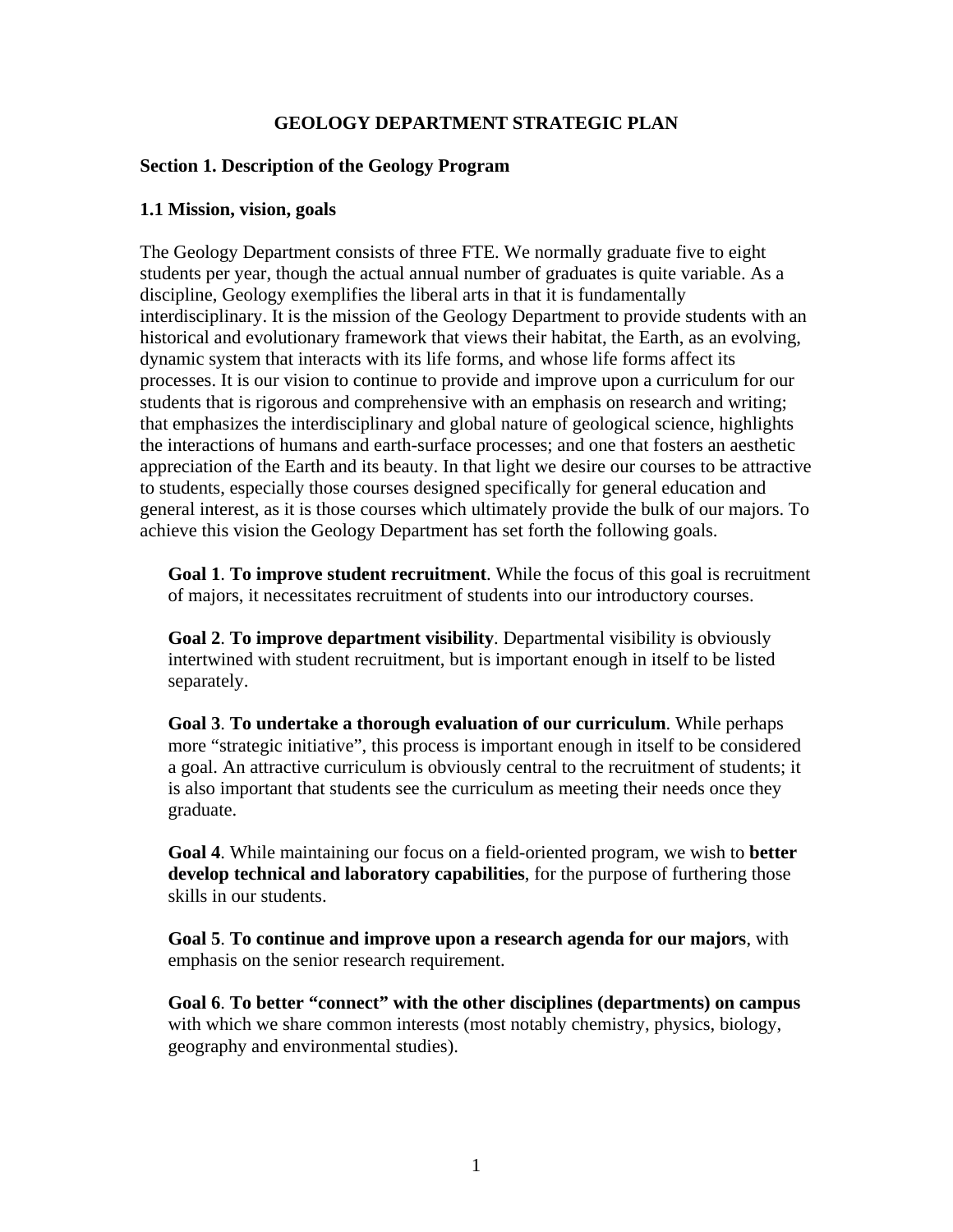# **GEOLOGY DEPARTMENT STRATEGIC PLAN**

## **Section 1. Description of the Geology Program**

### **1.1 Mission, vision, goals**

The Geology Department consists of three FTE. We normally graduate five to eight students per year, though the actual annual number of graduates is quite variable. As a discipline, Geology exemplifies the liberal arts in that it is fundamentally interdisciplinary. It is the mission of the Geology Department to provide students with an historical and evolutionary framework that views their habitat, the Earth, as an evolving, dynamic system that interacts with its life forms, and whose life forms affect its processes. It is our vision to continue to provide and improve upon a curriculum for our students that is rigorous and comprehensive with an emphasis on research and writing; that emphasizes the interdisciplinary and global nature of geological science, highlights the interactions of humans and earth-surface processes; and one that fosters an aesthetic appreciation of the Earth and its beauty. In that light we desire our courses to be attractive to students, especially those courses designed specifically for general education and general interest, as it is those courses which ultimately provide the bulk of our majors. To achieve this vision the Geology Department has set forth the following goals.

**Goal 1**. **To improve student recruitment**. While the focus of this goal is recruitment of majors, it necessitates recruitment of students into our introductory courses.

**Goal 2**. **To improve department visibility**. Departmental visibility is obviously intertwined with student recruitment, but is important enough in itself to be listed separately.

**Goal 3**. **To undertake a thorough evaluation of our curriculum**. While perhaps more "strategic initiative", this process is important enough in itself to be considered a goal. An attractive curriculum is obviously central to the recruitment of students; it is also important that students see the curriculum as meeting their needs once they graduate.

**Goal 4**. While maintaining our focus on a field-oriented program, we wish to **better develop technical and laboratory capabilities**, for the purpose of furthering those skills in our students.

**Goal 5**. **To continue and improve upon a research agenda for our majors**, with emphasis on the senior research requirement.

**Goal 6**. **To better "connect" with the other disciplines (departments) on campus** with which we share common interests (most notably chemistry, physics, biology, geography and environmental studies).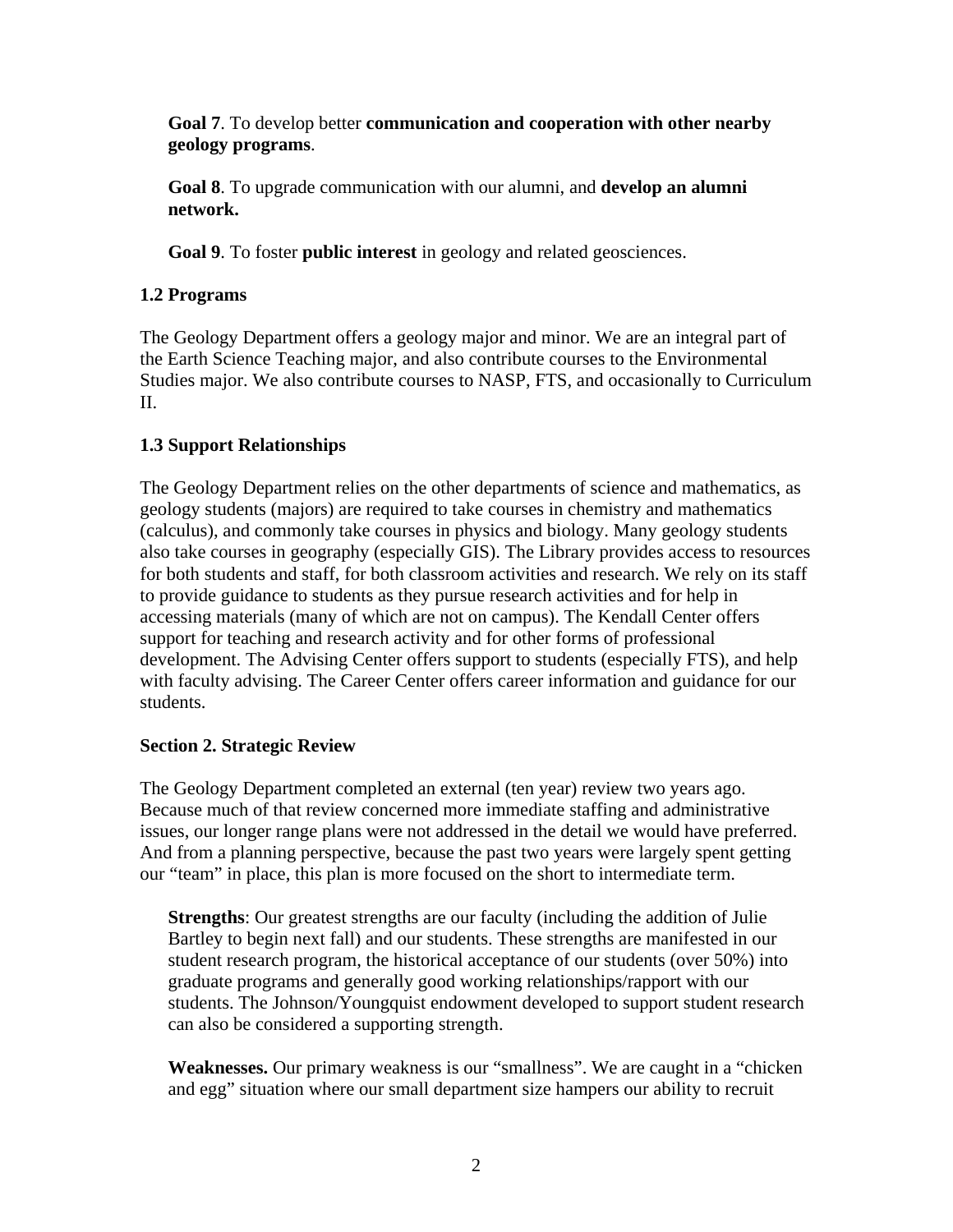**Goal 7**. To develop better **communication and cooperation with other nearby geology programs**.

**Goal 8**. To upgrade communication with our alumni, and **develop an alumni network.** 

**Goal 9**. To foster **public interest** in geology and related geosciences.

# **1.2 Programs**

The Geology Department offers a geology major and minor. We are an integral part of the Earth Science Teaching major, and also contribute courses to the Environmental Studies major. We also contribute courses to NASP, FTS, and occasionally to Curriculum II.

# **1.3 Support Relationships**

The Geology Department relies on the other departments of science and mathematics, as geology students (majors) are required to take courses in chemistry and mathematics (calculus), and commonly take courses in physics and biology. Many geology students also take courses in geography (especially GIS). The Library provides access to resources for both students and staff, for both classroom activities and research. We rely on its staff to provide guidance to students as they pursue research activities and for help in accessing materials (many of which are not on campus). The Kendall Center offers support for teaching and research activity and for other forms of professional development. The Advising Center offers support to students (especially FTS), and help with faculty advising. The Career Center offers career information and guidance for our students.

# **Section 2. Strategic Review**

The Geology Department completed an external (ten year) review two years ago. Because much of that review concerned more immediate staffing and administrative issues, our longer range plans were not addressed in the detail we would have preferred. And from a planning perspective, because the past two years were largely spent getting our "team" in place, this plan is more focused on the short to intermediate term.

**Strengths**: Our greatest strengths are our faculty (including the addition of Julie Bartley to begin next fall) and our students. These strengths are manifested in our student research program, the historical acceptance of our students (over 50%) into graduate programs and generally good working relationships/rapport with our students. The Johnson/Youngquist endowment developed to support student research can also be considered a supporting strength.

**Weaknesses.** Our primary weakness is our "smallness". We are caught in a "chicken and egg" situation where our small department size hampers our ability to recruit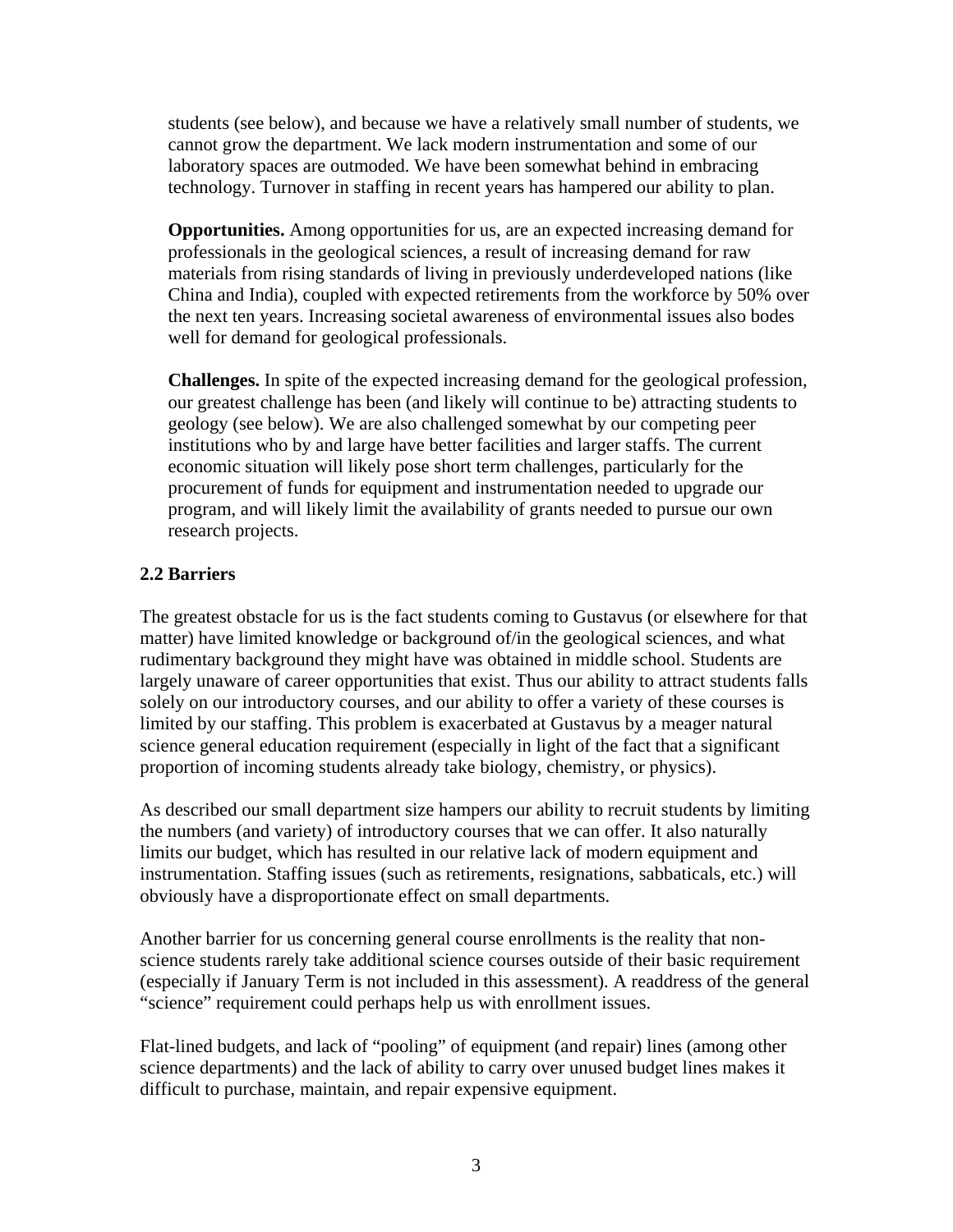students (see below), and because we have a relatively small number of students, we cannot grow the department. We lack modern instrumentation and some of our laboratory spaces are outmoded. We have been somewhat behind in embracing technology. Turnover in staffing in recent years has hampered our ability to plan.

**Opportunities.** Among opportunities for us, are an expected increasing demand for professionals in the geological sciences, a result of increasing demand for raw materials from rising standards of living in previously underdeveloped nations (like China and India), coupled with expected retirements from the workforce by 50% over the next ten years. Increasing societal awareness of environmental issues also bodes well for demand for geological professionals.

**Challenges.** In spite of the expected increasing demand for the geological profession, our greatest challenge has been (and likely will continue to be) attracting students to geology (see below). We are also challenged somewhat by our competing peer institutions who by and large have better facilities and larger staffs. The current economic situation will likely pose short term challenges, particularly for the procurement of funds for equipment and instrumentation needed to upgrade our program, and will likely limit the availability of grants needed to pursue our own research projects.

## **2.2 Barriers**

The greatest obstacle for us is the fact students coming to Gustavus (or elsewhere for that matter) have limited knowledge or background of/in the geological sciences, and what rudimentary background they might have was obtained in middle school. Students are largely unaware of career opportunities that exist. Thus our ability to attract students falls solely on our introductory courses, and our ability to offer a variety of these courses is limited by our staffing. This problem is exacerbated at Gustavus by a meager natural science general education requirement (especially in light of the fact that a significant proportion of incoming students already take biology, chemistry, or physics).

As described our small department size hampers our ability to recruit students by limiting the numbers (and variety) of introductory courses that we can offer. It also naturally limits our budget, which has resulted in our relative lack of modern equipment and instrumentation. Staffing issues (such as retirements, resignations, sabbaticals, etc.) will obviously have a disproportionate effect on small departments.

Another barrier for us concerning general course enrollments is the reality that nonscience students rarely take additional science courses outside of their basic requirement (especially if January Term is not included in this assessment). A readdress of the general "science" requirement could perhaps help us with enrollment issues.

Flat-lined budgets, and lack of "pooling" of equipment (and repair) lines (among other science departments) and the lack of ability to carry over unused budget lines makes it difficult to purchase, maintain, and repair expensive equipment.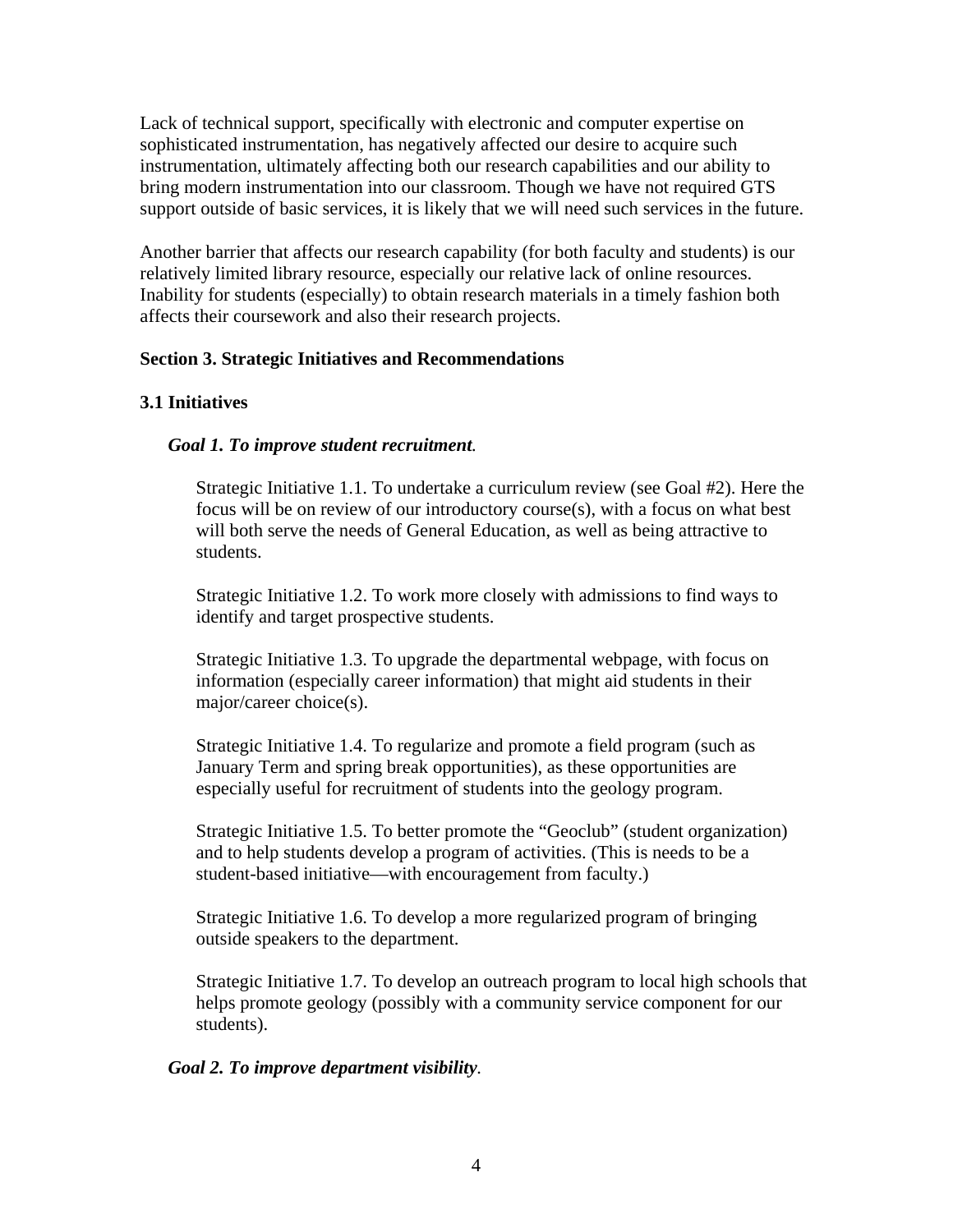Lack of technical support, specifically with electronic and computer expertise on sophisticated instrumentation, has negatively affected our desire to acquire such instrumentation, ultimately affecting both our research capabilities and our ability to bring modern instrumentation into our classroom. Though we have not required GTS support outside of basic services, it is likely that we will need such services in the future.

Another barrier that affects our research capability (for both faculty and students) is our relatively limited library resource, especially our relative lack of online resources. Inability for students (especially) to obtain research materials in a timely fashion both affects their coursework and also their research projects.

## **Section 3. Strategic Initiatives and Recommendations**

## **3.1 Initiatives**

## *Goal 1. To improve student recruitment.*

Strategic Initiative 1.1. To undertake a curriculum review (see Goal #2). Here the focus will be on review of our introductory course(s), with a focus on what best will both serve the needs of General Education, as well as being attractive to students.

Strategic Initiative 1.2. To work more closely with admissions to find ways to identify and target prospective students.

Strategic Initiative 1.3. To upgrade the departmental webpage, with focus on information (especially career information) that might aid students in their major/career choice(s).

Strategic Initiative 1.4. To regularize and promote a field program (such as January Term and spring break opportunities), as these opportunities are especially useful for recruitment of students into the geology program.

Strategic Initiative 1.5. To better promote the "Geoclub" (student organization) and to help students develop a program of activities. (This is needs to be a student-based initiative—with encouragement from faculty.)

Strategic Initiative 1.6. To develop a more regularized program of bringing outside speakers to the department.

Strategic Initiative 1.7. To develop an outreach program to local high schools that helps promote geology (possibly with a community service component for our students).

## *Goal 2. To improve department visibility.*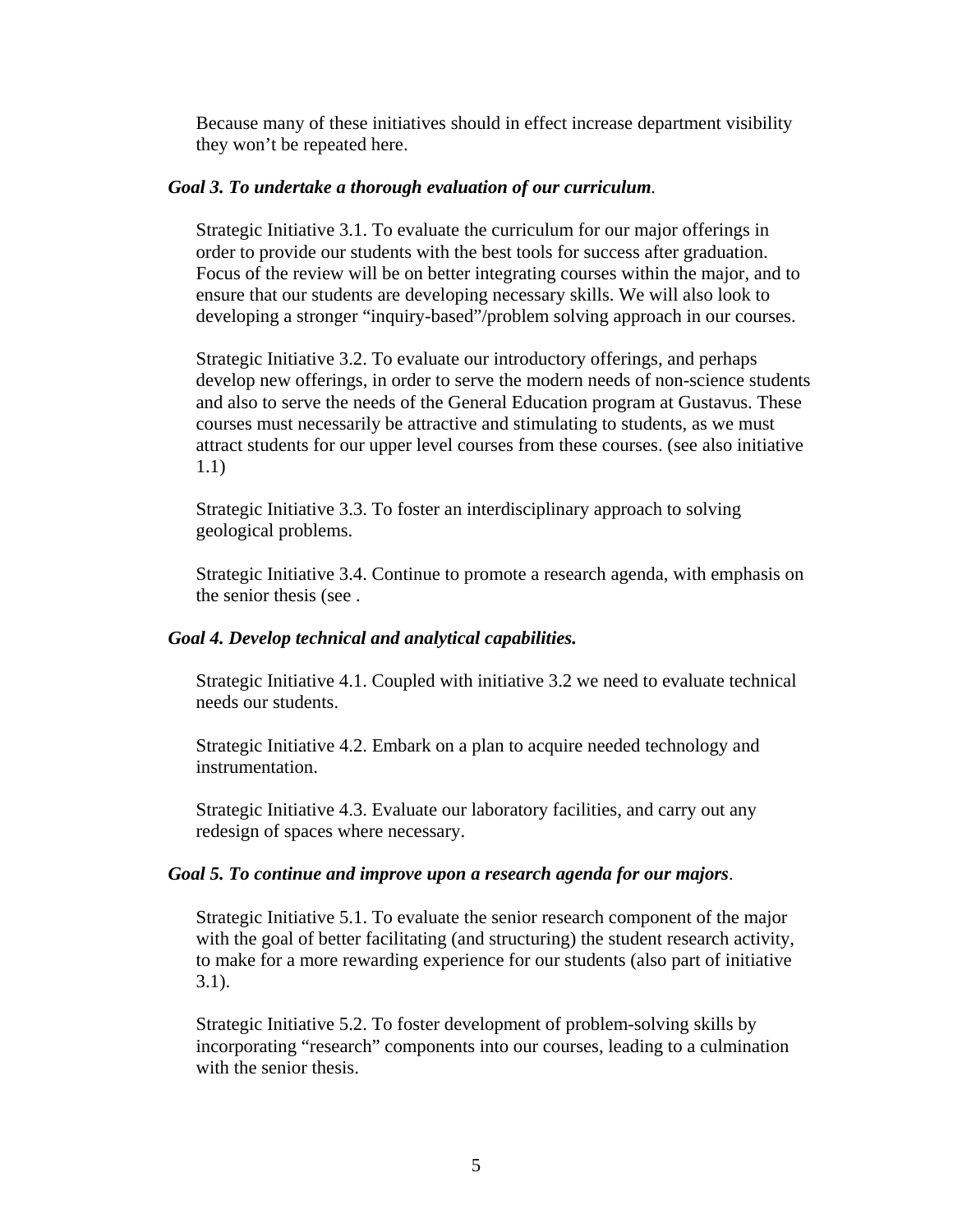Because many of these initiatives should in effect increase department visibility they won't be repeated here.

### *Goal 3. To undertake a thorough evaluation of our curriculum.*

Strategic Initiative 3.1. To evaluate the curriculum for our major offerings in order to provide our students with the best tools for success after graduation. Focus of the review will be on better integrating courses within the major, and to ensure that our students are developing necessary skills. We will also look to developing a stronger "inquiry-based"/problem solving approach in our courses.

Strategic Initiative 3.2. To evaluate our introductory offerings, and perhaps develop new offerings, in order to serve the modern needs of non-science students and also to serve the needs of the General Education program at Gustavus. These courses must necessarily be attractive and stimulating to students, as we must attract students for our upper level courses from these courses. (see also initiative 1.1)

Strategic Initiative 3.3. To foster an interdisciplinary approach to solving geological problems.

Strategic Initiative 3.4. Continue to promote a research agenda, with emphasis on the senior thesis (see .

### *Goal 4. Develop technical and analytical capabilities.*

Strategic Initiative 4.1. Coupled with initiative 3.2 we need to evaluate technical needs our students.

Strategic Initiative 4.2. Embark on a plan to acquire needed technology and instrumentation.

Strategic Initiative 4.3. Evaluate our laboratory facilities, and carry out any redesign of spaces where necessary.

#### *Goal 5. To continue and improve upon a research agenda for our majors*.

Strategic Initiative 5.1. To evaluate the senior research component of the major with the goal of better facilitating (and structuring) the student research activity, to make for a more rewarding experience for our students (also part of initiative 3.1).

Strategic Initiative 5.2. To foster development of problem-solving skills by incorporating "research" components into our courses, leading to a culmination with the senior thesis.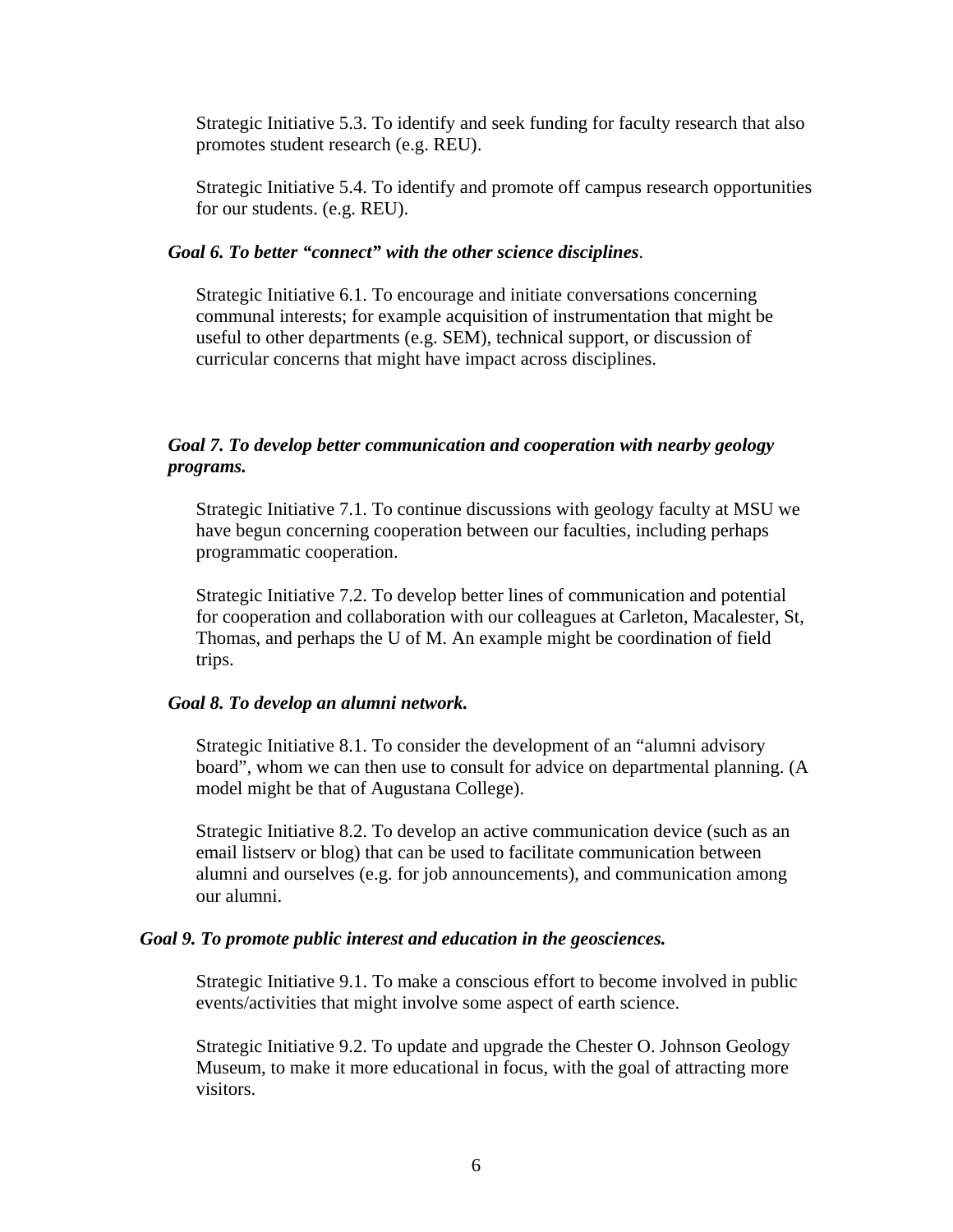Strategic Initiative 5.3. To identify and seek funding for faculty research that also promotes student research (e.g. REU).

Strategic Initiative 5.4. To identify and promote off campus research opportunities for our students. (e.g. REU).

### *Goal 6. To better "connect" with the other science disciplines*.

Strategic Initiative 6.1. To encourage and initiate conversations concerning communal interests; for example acquisition of instrumentation that might be useful to other departments (e.g. SEM), technical support, or discussion of curricular concerns that might have impact across disciplines.

## *Goal 7. To develop better communication and cooperation with nearby geology programs.*

Strategic Initiative 7.1. To continue discussions with geology faculty at MSU we have begun concerning cooperation between our faculties, including perhaps programmatic cooperation.

Strategic Initiative 7.2. To develop better lines of communication and potential for cooperation and collaboration with our colleagues at Carleton, Macalester, St, Thomas, and perhaps the U of M. An example might be coordination of field trips.

### *Goal 8. To develop an alumni network.*

Strategic Initiative 8.1. To consider the development of an "alumni advisory board", whom we can then use to consult for advice on departmental planning. (A model might be that of Augustana College).

Strategic Initiative 8.2. To develop an active communication device (such as an email listserv or blog) that can be used to facilitate communication between alumni and ourselves (e.g. for job announcements), and communication among our alumni.

#### *Goal 9. To promote public interest and education in the geosciences.*

Strategic Initiative 9.1. To make a conscious effort to become involved in public events/activities that might involve some aspect of earth science.

Strategic Initiative 9.2. To update and upgrade the Chester O. Johnson Geology Museum, to make it more educational in focus, with the goal of attracting more visitors.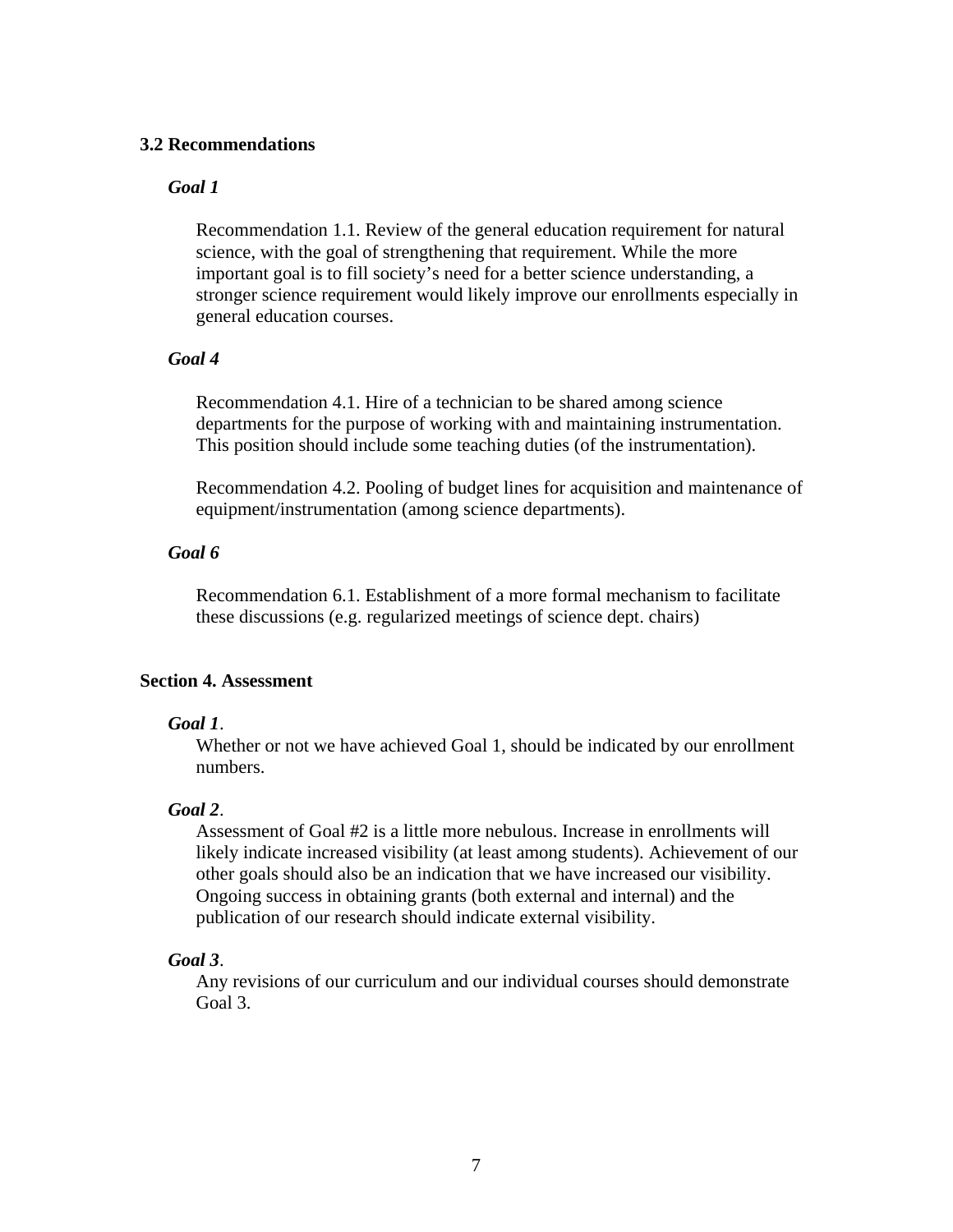### **3.2 Recommendations**

### *Goal 1*

Recommendation 1.1. Review of the general education requirement for natural science, with the goal of strengthening that requirement. While the more important goal is to fill society's need for a better science understanding, a stronger science requirement would likely improve our enrollments especially in general education courses.

### *Goal 4*

Recommendation 4.1. Hire of a technician to be shared among science departments for the purpose of working with and maintaining instrumentation. This position should include some teaching duties (of the instrumentation).

Recommendation 4.2. Pooling of budget lines for acquisition and maintenance of equipment/instrumentation (among science departments).

### *Goal 6*

Recommendation 6.1. Establishment of a more formal mechanism to facilitate these discussions (e.g. regularized meetings of science dept. chairs)

## **Section 4. Assessment**

### *Goal 1*.

Whether or not we have achieved Goal 1, should be indicated by our enrollment numbers.

### *Goal 2*.

Assessment of Goal #2 is a little more nebulous. Increase in enrollments will likely indicate increased visibility (at least among students). Achievement of our other goals should also be an indication that we have increased our visibility. Ongoing success in obtaining grants (both external and internal) and the publication of our research should indicate external visibility.

## *Goal 3*.

Any revisions of our curriculum and our individual courses should demonstrate Goal 3.